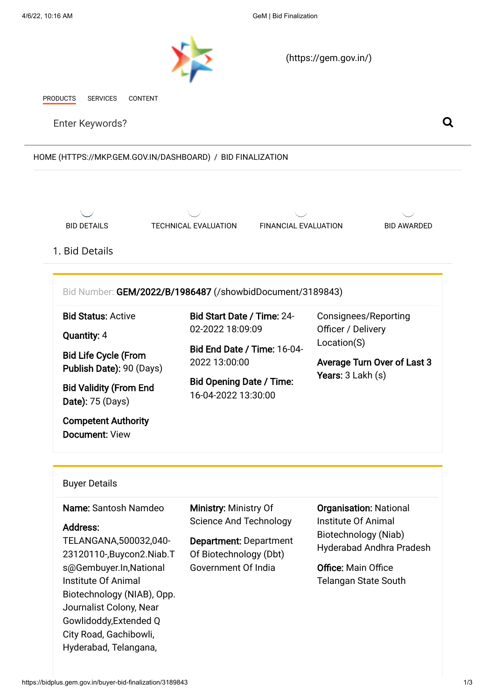<span id="page-0-0"></span>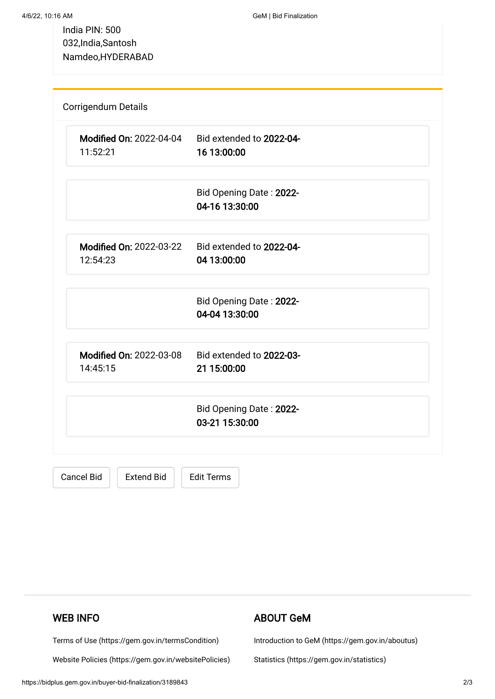India PIN: 500 032,India,Santosh Namdeo,HYDERABAD

| <b>Modified On: 2022-04-04</b><br>11:52:21 | Bid extended to 2022-04-<br>16 13:00:00   |  |
|--------------------------------------------|-------------------------------------------|--|
|                                            |                                           |  |
|                                            | Bid Opening Date: 2022-                   |  |
|                                            | 04-16 13:30:00                            |  |
| <b>Modified On: 2022-03-22</b>             | Bid extended to 2022-04-                  |  |
| 12:54:23                                   | 04 13:00:00                               |  |
|                                            | Bid Opening Date: 2022-                   |  |
|                                            | 04-04 13:30:00                            |  |
| <b>Modified On: 2022-03-08</b>             | Bid extended to 2022-03-                  |  |
| 14:45:15                                   | 21 15:00:00                               |  |
|                                            |                                           |  |
|                                            | Bid Opening Date: 2022-<br>03-21 15:30:00 |  |

Cancel Bid | Extend Bid | Edit Terms

# WEB INFO

[Terms of Use \(https://gem.gov.in/termsCondition\)](https://gem.gov.in/termsCondition)

[Website Policies \(https://gem.gov.in/websitePolicies\)](https://gem.gov.in/websitePolicies)

## ABOUT GeM

[Introduction to GeM \(https://gem.gov.in/aboutus\)](https://gem.gov.in/aboutus)

[Statistics \(https://gem.gov.in/statistics\)](https://gem.gov.in/statistics)